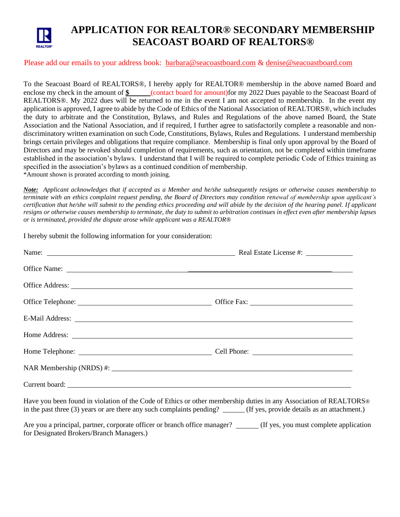

## **APPLICATION FOR REALTOR® SECONDARY MEMBERSHIP SEACOAST BOARD OF REALTORS®**

## Please add our emails to your address book: [barbara@seacoastboard.com](mailto:barbara@seacoastboard.com) & [denise@seacoastboard.com](mailto:denise@seacoastboard.com)

To the Seacoast Board of REALTORS®, I hereby apply for REALTOR® membership in the above named Board and enclose my check in the amount of  $\frac{1}{2}$  (contact board for amount)for my 2022 Dues payable to the Seacoast Board of REALTORS®. My 2022 dues will be returned to me in the event I am not accepted to membership. In the event my application is approved, I agree to abide by the Code of Ethics of the National Association of REALTORS®, which includes the duty to arbitrate and the Constitution, Bylaws, and Rules and Regulations of the above named Board, the State Association and the National Association, and if required, I further agree to satisfactorily complete a reasonable and nondiscriminatory written examination on such Code, Constitutions, Bylaws, Rules and Regulations. I understand membership brings certain privileges and obligations that require compliance. Membership is final only upon approval by the Board of Directors and may be revoked should completion of requirements, such as orientation, not be completed within timeframe established in the association's bylaws. I understand that I will be required to complete periodic Code of Ethics training as specified in the association's bylaws as a continued condition of membership. \*Amount shown is prorated according to month joining.

*Note: Applicant acknowledges that if accepted as a Member and he/she subsequently resigns or otherwise causes membership to terminate with an ethics complaint request pending, the Board of Directors may condition renewal of membership upon applicant's certification that he/she will submit to the pending ethics proceeding and will abide by the decision of the hearing panel. If applicant resigns or otherwise causes membership to terminate, the duty to submit to arbitration continues in effect even after membership lapses or is terminated, provided the dispute arose while applicant was a REALTOR®*

I hereby submit the following information for your consideration:

| Name: Name: Name: Name: Name: Neal Estate License #: Name: Name: Name: Name: Name: Name: Name: Name: Name: Name: Name: Name: Name: Name: Name: Name: Name: Name: Name: Name: Name: Name: Name: Name: Name: Name: Name: Name: N |  |
|--------------------------------------------------------------------------------------------------------------------------------------------------------------------------------------------------------------------------------|--|
|                                                                                                                                                                                                                                |  |
|                                                                                                                                                                                                                                |  |
|                                                                                                                                                                                                                                |  |
| E-Mail Address: New York Contract the Mail Address: New York Contract the Mail Address:                                                                                                                                        |  |
|                                                                                                                                                                                                                                |  |
|                                                                                                                                                                                                                                |  |
|                                                                                                                                                                                                                                |  |
|                                                                                                                                                                                                                                |  |

Have you been found in violation of the Code of Ethics or other membership duties in any Association of REALTORS<sup>®</sup> in the past three (3) years or are there any such complaints pending? \_\_\_\_\_\_ (If yes, provide details as an attachment.)

Are you a principal, partner, corporate officer or branch office manager? \_\_\_\_\_(If yes, you must complete application for Designated Brokers/Branch Managers.)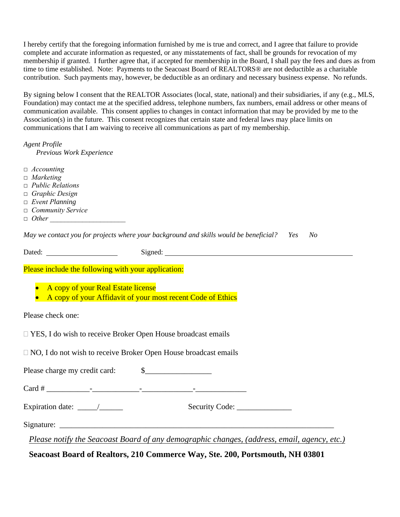I hereby certify that the foregoing information furnished by me is true and correct, and I agree that failure to provide complete and accurate information as requested, or any misstatements of fact, shall be grounds for revocation of my membership if granted. I further agree that, if accepted for membership in the Board, I shall pay the fees and dues as from time to time established. Note: Payments to the Seacoast Board of REALTORS® are not deductible as a charitable contribution. Such payments may, however, be deductible as an ordinary and necessary business expense. No refunds.

By signing below I consent that the REALTOR Associates (local, state, national) and their subsidiaries, if any (e.g., MLS, Foundation) may contact me at the specified address, telephone numbers, fax numbers, email address or other means of communication available. This consent applies to changes in contact information that may be provided by me to the Association(s) in the future. This consent recognizes that certain state and federal laws may place limits on communications that I am waiving to receive all communications as part of my membership.

*Agent Profile Previous Work Experience*

- *□ Accounting*
- *□ Marketing*
- *□ Public Relations*
- *□ Graphic Design*
- *□ Event Planning*
- *□ Community Service*
- *□ Other \_\_\_\_\_\_\_\_\_\_\_\_\_\_\_\_\_\_\_\_\_*

*May we contact you for projects where your background and skills would be beneficial? Yes No*

Dated: Signed: Signed:

Please include the following with your application:

- A copy of your Real Estate license
- A copy of your Affidavit of your most recent Code of Ethics

Please check one:

□ YES, I do wish to receive Broker Open House broadcast emails

NO, I do not wish to receive Broker Open House broadcast emails

Please charge my credit card:  $\qquad$  \$

 $Card \#$ 

Expiration date: \_\_\_\_\_/\_\_\_\_\_\_\_\_\_\_ Security Code: \_\_\_\_\_\_\_\_\_\_\_\_\_\_\_\_\_\_\_\_\_\_\_\_\_\_\_\_\_\_\_

Signature: \_\_\_\_\_\_\_\_\_\_\_\_\_\_\_\_\_\_\_\_\_\_\_\_\_\_\_\_\_\_\_\_\_\_\_\_\_\_\_\_\_\_\_\_\_\_\_\_\_\_\_\_\_\_\_\_\_\_\_\_\_\_\_\_\_\_\_\_\_\_

*Please notify the Seacoast Board of any demographic changes, (address, email, agency, etc.)*

**Seacoast Board of Realtors, 210 Commerce Way, Ste. 200, Portsmouth, NH 03801**